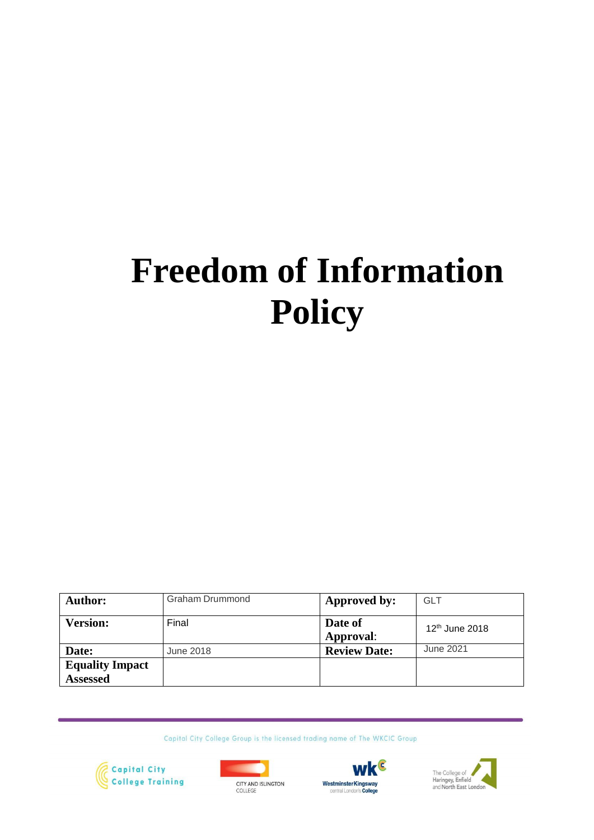# **Freedom of Information Policy**

| <b>Author:</b>                            | Graham Drummond | Approved by:         | <b>GLT</b>          |
|-------------------------------------------|-----------------|----------------------|---------------------|
| <b>Version:</b>                           | Final           | Date of<br>Approval: | $12^{th}$ June 2018 |
| Date:                                     | June 2018       | <b>Review Date:</b>  | June 2021           |
| <b>Equality Impact</b><br><b>Assessed</b> |                 |                      |                     |

Capital City College Group is the licensed trading name of The WKCIC Group







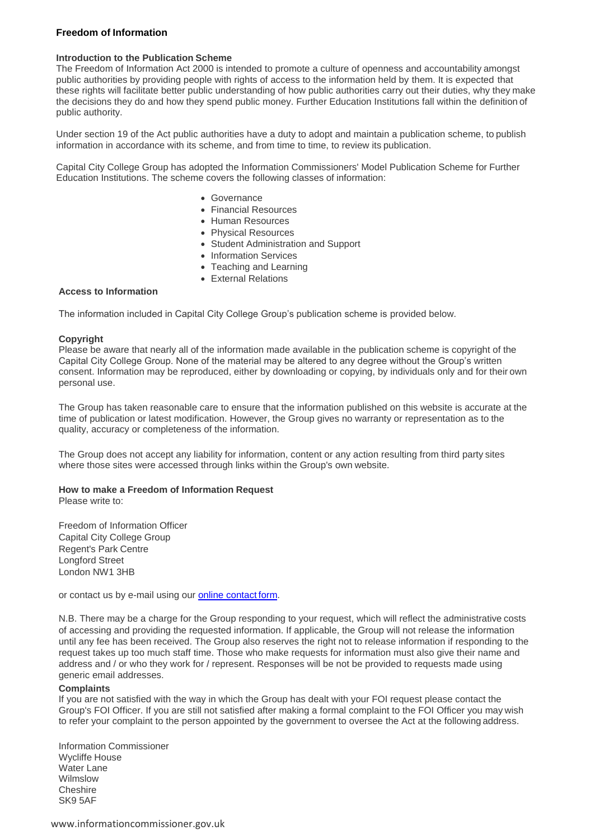#### **Freedom of Information**

#### **Introduction to the Publication Scheme**

The Freedom of Information Act 2000 is intended to promote a culture of openness and accountability amongst public authorities by providing people with rights of access to the information held by them. It is expected that these rights will facilitate better public understanding of how public authorities carry out their duties, why they make the decisions they do and how they spend public money. Further Education Institutions fall within the definition of public authority.

Under section 19 of the Act public authorities have a duty to adopt and maintain a publication scheme, to publish information in accordance with its scheme, and from time to time, to review its publication.

Capital City College Group has adopted the Information Commissioners' Model Publication Scheme for Further Education Institutions. The scheme covers the following classes of information:

- Governance
- Financial Resources
- Human Resources
- Physical Resources
- Student Administration and Support
- Information Services
- Teaching and Learning
- External Relations

#### **Access to Information**

The information included in Capital City College Group's publication scheme is provided below.

#### **Copyright**

Please be aware that nearly all of the information made available in the publication scheme is copyright of the Capital City College Group. None of the material may be altered to any degree without the Group's written consent. Information may be reproduced, either by downloading or copying, by individuals only and for their own personal use.

The Group has taken reasonable care to ensure that the information published on this website is accurate at the time of publication or latest modification. However, the Group gives no warranty or representation as to the quality, accuracy or completeness of the information.

The Group does not accept any liability for information, content or any action resulting from third party sites where those sites were accessed through links within the Group's own website.

#### **How to make a Freedom of Information Request**

Please write to:

Freedom of Information Officer Capital City College Group Regent's Park Centre Longford Street London NW1 3HB

or contact us by e-mail using our **online contact form.** 

N.B. There may be a charge for the Group responding to your request, which will reflect the administrative costs of accessing and providing the requested information. If applicable, the Group will not release the information until any fee has been received. The Group also reserves the right not to release information if responding to the request takes up too much staff time. Those who make requests for information must also give their name and address and / or who they work for / represent. Responses will be not be provided to requests made using generic email addresses.

#### **Complaints**

If you are not satisfied with the way in which the Group has dealt with your FOI request please contact the Group's FOI Officer. If you are still not satisfied after making a formal complaint to the FOI Officer you may wish to refer your complaint to the person appointed by the government to oversee the Act at the following address.

Information Commissioner Wycliffe House Water Lane Wilmslow **Cheshire** SK9 5AF

[www.informationcommissioner.gov.uk](http://www.informationcommissioner.gov.uk/)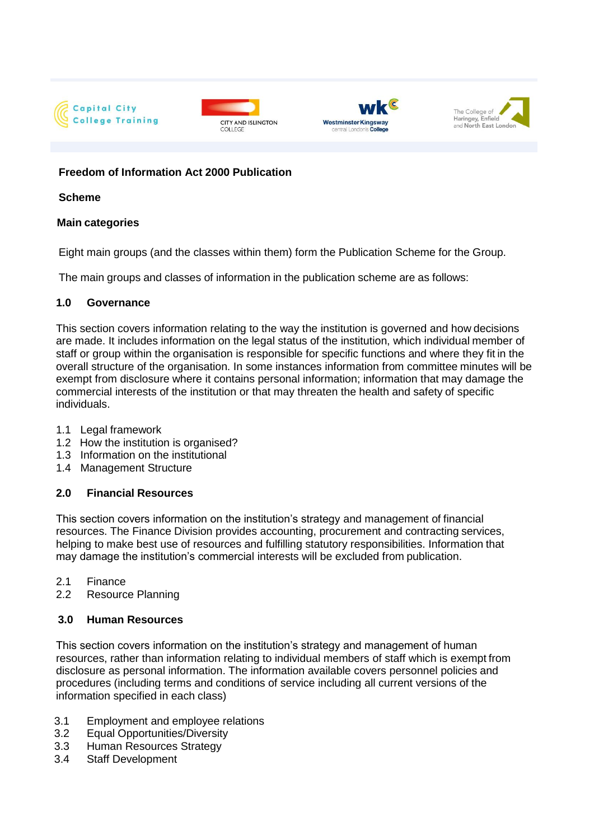







# **Freedom of Information Act 2000 Publication**

#### **Scheme**

#### **Main categories**

Eight main groups (and the classes within them) form the Publication Scheme for the Group.

The main groups and classes of information in the publication scheme are as follows:

#### **1.0 Governance**

This section covers information relating to the way the institution is governed and how decisions are made. It includes information on the legal status of the institution, which individual member of staff or group within the organisation is responsible for specific functions and where they fit in the overall structure of the organisation. In some instances information from committee minutes will be exempt from disclosure where it contains personal information; information that may damage the commercial interests of the institution or that may threaten the health and safety of specific individuals.

- 1.1 Legal framework
- 1.2 How the institution is organised?
- 1.3 Information on the institutional
- 1.4 Management Structure

# **2.0 Financial Resources**

This section covers information on the institution's strategy and management of financial resources. The Finance Division provides accounting, procurement and contracting services, helping to make best use of resources and fulfilling statutory responsibilities. Information that may damage the institution's commercial interests will be excluded from publication.

- 2.1 Finance
- 2.2 Resource Planning

# **3.0 Human Resources**

This section covers information on the institution's strategy and management of human resources, rather than information relating to individual members of staff which is exempt from disclosure as personal information. The information available covers personnel policies and procedures (including terms and conditions of service including all current versions of the information specified in each class)

- 3.1 Employment and employee relations
- 3.2 Equal Opportunities/Diversity
- 3.3 Human Resources Strategy
- 3.4 Staff Development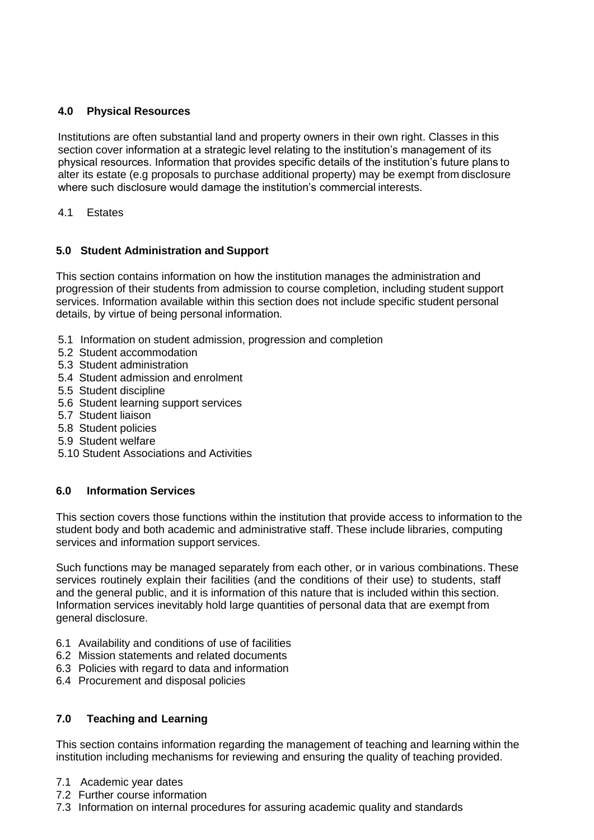### **4.0 Physical Resources**

Institutions are often substantial land and property owners in their own right. Classes in this section cover information at a strategic level relating to the institution's management of its physical resources. Information that provides specific details of the institution's future plans to alter its estate (e.g proposals to purchase additional property) may be exempt from disclosure where such disclosure would damage the institution's commercial interests.

#### 4.1 Estates

#### **5.0 Student Administration and Support**

This section contains information on how the institution manages the administration and progression of their students from admission to course completion, including student support services. Information available within this section does not include specific student personal details, by virtue of being personal information.

- 5.1 Information on student admission, progression and completion
- 5.2 Student accommodation
- 5.3 Student administration
- 5.4 Student admission and enrolment
- 5.5 Student discipline
- 5.6 Student learning support services
- 5.7 Student liaison
- 5.8 Student policies
- 5.9 Student welfare
- 5.10 Student Associations and Activities

# **6.0 Information Services**

This section covers those functions within the institution that provide access to information to the student body and both academic and administrative staff. These include libraries, computing services and information support services.

Such functions may be managed separately from each other, or in various combinations. These services routinely explain their facilities (and the conditions of their use) to students, staff and the general public, and it is information of this nature that is included within this section. Information services inevitably hold large quantities of personal data that are exempt from general disclosure.

- 6.1 Availability and conditions of use of facilities
- 6.2 Mission statements and related documents
- 6.3 Policies with regard to data and information
- 6.4 Procurement and disposal policies

# **7.0 Teaching and Learning**

This section contains information regarding the management of teaching and learning within the institution including mechanisms for reviewing and ensuring the quality of teaching provided.

- 7.1 Academic year dates
- 7.2 Further course information
- 7.3 Information on internal procedures for assuring academic quality and standards